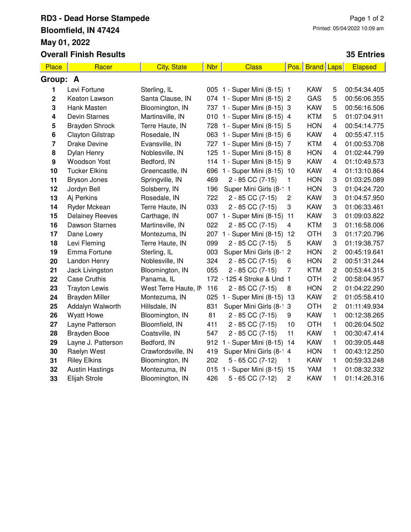## **RD3 - Dead Horse Stampede Bloomfield, IN 47424 May 01, 2022 Overall Finish Results**

## **35 Entries**

| Place                   | Racer                  | <b>City, State</b>   | <b>Nbr</b> | <b>Class</b>                 | Pos.           | <b>Brand</b> Laps |                | Elapsed      |
|-------------------------|------------------------|----------------------|------------|------------------------------|----------------|-------------------|----------------|--------------|
| Group: A                |                        |                      |            |                              |                |                   |                |              |
| 1                       | Levi Fortune           | Sterling, IL         |            | 005 1 - Super Mini (8-15) 1  |                | <b>KAW</b>        | 5              | 00:54:34.405 |
| $\mathbf 2$             | Keaton Lawson          | Santa Clause, IN     |            | 074 1 - Super Mini (8-15) 2  |                | GAS               | 5              | 00:56:06.355 |
| 3                       | Hank Masten            | Bloomington, IN      |            | 737 1 - Super Mini (8-15) 3  |                | <b>KAW</b>        | 5              | 00:56:16.506 |
| 4                       | Devin Starnes          | Martinsville, IN     |            | 010 1 - Super Mini (8-15) 4  |                | <b>KTM</b>        | 5              | 01:07:04.911 |
| 5                       | <b>Brayden Shrock</b>  | Terre Haute, IN      |            | 728 1 - Super Mini (8-15) 5  |                | <b>HON</b>        | $\overline{4}$ | 00:54:14.775 |
| 6                       | Clayton Gilstrap       | Rosedale, IN         |            | 063 1 - Super Mini (8-15) 6  |                | KAW               | $\overline{4}$ | 00:55:47.115 |
| $\overline{\mathbf{7}}$ | <b>Drake Devine</b>    | Evansville, IN       |            | 727 1 - Super Mini (8-15) 7  |                | <b>KTM</b>        | $\overline{4}$ | 01:00:53.708 |
| 8                       | Dylan Henry            | Noblesville, IN      | 125        | 1 - Super Mini (8-15) 8      |                | <b>HON</b>        | $\overline{4}$ | 01:02:44.799 |
| 9                       | <b>Woodson Yost</b>    | Bedford, IN          |            | 114 1 - Super Mini (8-15) 9  |                | <b>KAW</b>        | 4              | 01:10:49.573 |
| 10                      | <b>Tucker Elkins</b>   | Greencastle, IN      |            | 696 1 - Super Mini (8-15) 10 |                | <b>KAW</b>        | 4              | 01:13:10.864 |
| 11                      | <b>Bryson Jones</b>    | Springville, IN      | 469        | 2 - 85 CC (7-15)             | 1              | <b>HON</b>        | 3              | 01:03:25.089 |
| 12                      | Jordyn Bell            | Solsberry, IN        | 196        | Super Mini Girls (8-1 1      |                | <b>HON</b>        | 3              | 01:04:24.720 |
| 13                      | Aj Perkins             | Rosedale, IN         | 722        | 2 - 85 CC (7-15)             | 2              | KAW               | 3              | 01:04:57.950 |
| 14                      | Ryder Mckean           | Terre Haute, IN      | 033        | 2 - 85 CC (7-15)             | 3              | <b>KAW</b>        | 3              | 01:06:33.461 |
| 15                      | <b>Delainey Reeves</b> | Carthage, IN         |            | 007 1 - Super Mini (8-15) 11 |                | <b>KAW</b>        | 3              | 01:09:03.822 |
| 16                      | <b>Dawson Starnes</b>  | Martinsville, IN     | 022        | 2 - 85 CC (7-15)             | 4              | <b>KTM</b>        | 3              | 01:16:58.006 |
| 17                      | Dane Lowry             | Montezuma, IN        |            | 207 1 - Super Mini (8-15) 12 |                | <b>OTH</b>        | 3              | 01:17:20.796 |
| 18                      | Levi Fleming           | Terre Haute, IN      | 099        | 2 - 85 CC (7-15)             | 5              | KAW               | 3              | 01:19:38.757 |
| 19                      | Emma Fortune           | Sterling, IL         | 003        | Super Mini Girls (8-1 2      |                | <b>HON</b>        | $\overline{c}$ | 00:45:19.641 |
| 20                      | Landon Henry           | Noblesville, IN      | 324        | 2 - 85 CC (7-15)             | 6              | <b>HON</b>        | $\overline{c}$ | 00:51:31.244 |
| 21                      | Jack Livingston        | Bloomington, IN      | 055        | 2 - 85 CC (7-15)             | $\overline{7}$ | <b>KTM</b>        | $\overline{c}$ | 00:53:44.315 |
| 22                      | <b>Case Cruthis</b>    | Panama, IL           |            | 172 - 125 4 Stroke & Und 1   |                | <b>OTH</b>        | $\overline{c}$ | 00:58:04.957 |
| 23                      | <b>Trayton Lewis</b>   | West Terre Haute, IN | 116        | 2 - 85 CC (7-15)             | 8              | <b>HON</b>        | $\overline{c}$ | 01:04:22.290 |
| 24                      | <b>Brayden Miller</b>  | Montezuma, IN        |            | 025 1 - Super Mini (8-15) 13 |                | <b>KAW</b>        | $\overline{c}$ | 01:05:58.410 |
| 25                      | Addalyn Walworth       | Hillsdale, IN        | 831        | Super Mini Girls (8-1 3      |                | <b>OTH</b>        | $\overline{c}$ | 01:11:49.934 |
| 26                      | <b>Wyatt Howe</b>      | Bloomington, IN      | 81         | 2 - 85 CC (7-15)             | 9              | <b>KAW</b>        | $\mathbf{1}$   | 00:12:38.265 |
| 27                      | Layne Patterson        | Bloomfield, IN       | 411        | 2 - 85 CC (7-15)             | 10             | <b>OTH</b>        | 1              | 00:26:04.502 |
| 28                      | <b>Brayden Booe</b>    | Coatsville, IN       | 547        | 2 - 85 CC (7-15)             | 11             | KAW               | 1              | 00:30:47.414 |
| 29                      | Layne J. Patterson     | Bedford, IN          |            | 912 1 - Super Mini (8-15) 14 |                | <b>KAW</b>        | $\mathbf{1}$   | 00:39:05.448 |
| 30                      | Raelyn West            | Crawfordsville, IN   | 419        | Super Mini Girls (8-1 4      |                | <b>HON</b>        | 1              | 00:43:12.250 |
| 31                      | <b>Riley Elkins</b>    | Bloomington, IN      | 202        | $5 - 65$ CC $(7-12)$         | 1              | <b>KAW</b>        | 1              | 00:59:33.248 |
| 32                      | <b>Austin Hastings</b> | Montezuma, IN        |            | 015 1 - Super Mini (8-15)    | 15             | YAM               | 1              | 01:08:32.332 |
| 33                      | Elijah Strole          | Bloomington, IN      | 426        | 5 - 65 CC (7-12)             | $\overline{c}$ | <b>KAW</b>        | 1              | 01:14:26.316 |